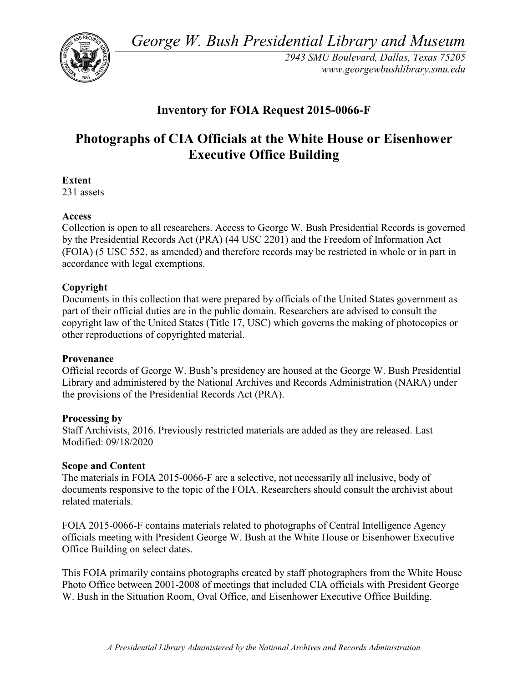*George W. Bush Presidential Library and Museum* 



 *2943 SMU Boulevard, Dallas, Texas 75205 <www.georgewbushlibrary.smu.edu>*

## **Inventory for FOIA Request 2015-0066-F**

# **Photographs of CIA Officials at the White House or Eisenhower Executive Office Building**

**Extent** 

231 assets

### **Access**

 by the Presidential Records Act (PRA) (44 USC 2201) and the Freedom of Information Act Collection is open to all researchers. Access to George W. Bush Presidential Records is governed (FOIA) (5 USC 552, as amended) and therefore records may be restricted in whole or in part in accordance with legal exemptions.

### **Copyright**

 Documents in this collection that were prepared by officials of the United States government as part of their official duties are in the public domain. Researchers are advised to consult the copyright law of the United States (Title 17, USC) which governs the making of photocopies or other reproductions of copyrighted material.

#### **Provenance**

 Official records of George W. Bush's presidency are housed at the George W. Bush Presidential Library and administered by the National Archives and Records Administration (NARA) under the provisions of the Presidential Records Act (PRA).

#### **Processing by**

 Modified: 09/18/2020 Staff Archivists, 2016. Previously restricted materials are added as they are released. Last

#### **Scope and Content**

The materials in FOIA 2015-0066-F are a selective, not necessarily all inclusive, body of documents responsive to the topic of the FOIA. Researchers should consult the archivist about related materials.

 FOIA 2015-0066-F contains materials related to photographs of Central Intelligence Agency officials meeting with President George W. Bush at the White House or Eisenhower Executive Office Building on select dates.

 W. Bush in the Situation Room, Oval Office, and Eisenhower Executive Office Building. This FOIA primarily contains photographs created by staff photographers from the White House Photo Office between 2001-2008 of meetings that included CIA officials with President George